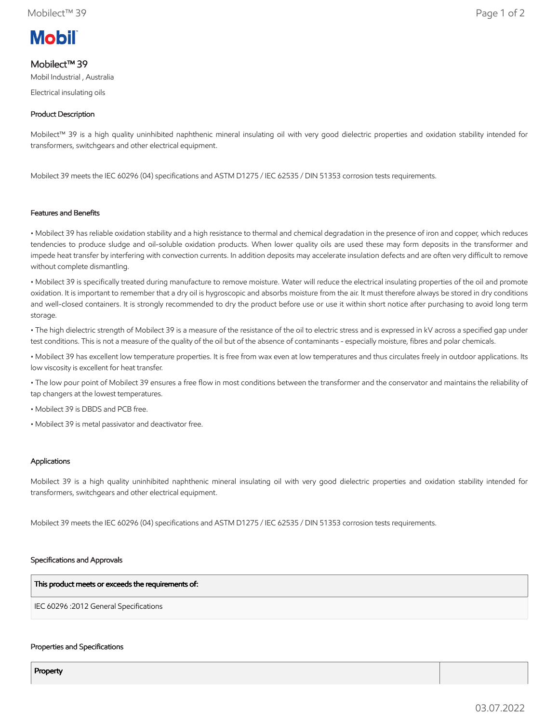# **Mobil**

## Mobilect™ 39

Mobil Industrial , Australia

Electrical insulating oils

### Product Description

Mobilect™ 39 is a high quality uninhibited naphthenic mineral insulating oil with very good dielectric properties and oxidation stability intended for transformers, switchgears and other electrical equipment.

Mobilect 39 meets the IEC 60296 (04) specifications and ASTM D1275 / IEC 62535 / DIN 51353 corrosion tests requirements.

#### Features and Benefits

• Mobilect 39 has reliable oxidation stability and a high resistance to thermal and chemical degradation in the presence of iron and copper, which reduces tendencies to produce sludge and oil-soluble oxidation products. When lower quality oils are used these may form deposits in the transformer and impede heat transfer by interfering with convection currents. In addition deposits may accelerate insulation defects and are often very difficult to remove without complete dismantling.

• Mobilect 39 is specifically treated during manufacture to remove moisture. Water will reduce the electrical insulating properties of the oil and promote oxidation. It is important to remember that a dry oil is hygroscopic and absorbs moisture from the air. It must therefore always be stored in dry conditions and well-closed containers. It is strongly recommended to dry the product before use or use it within short notice after purchasing to avoid long term storage.

• The high dielectric strength of Mobilect 39 is a measure of the resistance of the oil to electric stress and is expressed in kV across a specified gap under test conditions. This is not a measure of the quality of the oil but of the absence of contaminants - especially moisture, fibres and polar chemicals.

• Mobilect 39 has excellent low temperature properties. It is free from wax even at low temperatures and thus circulates freely in outdoor applications. Its low viscosity is excellent for heat transfer.

• The low pour point of Mobilect 39 ensures a free flow in most conditions between the transformer and the conservator and maintains the reliability of tap changers at the lowest temperatures.

• Mobilect 39 is DBDS and PCB free.

• Mobilect 39 is metal passivator and deactivator free.

#### Applications

Mobilect 39 is a high quality uninhibited naphthenic mineral insulating oil with very good dielectric properties and oxidation stability intended for transformers, switchgears and other electrical equipment.

Mobilect 39 meets the IEC 60296 (04) specifications and ASTM D1275 / IEC 62535 / DIN 51353 corrosion tests requirements.

#### Specifications and Approvals

This product meets or exceeds the requirements of:

IEC 60296 :2012 General Specifications

#### Properties and Specifications

Property